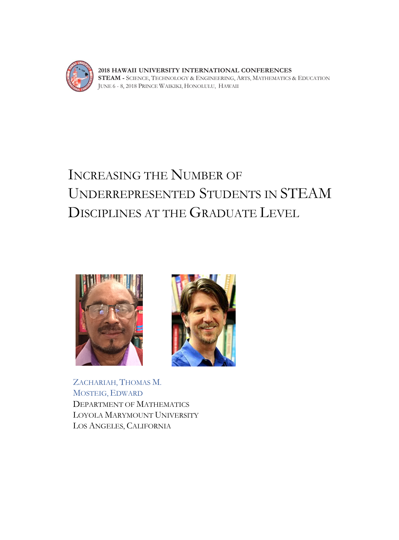

**2018 HAWAII UNIVERSITY INTERNATIONAL CONFERENCES STEAM -** SCIENCE, TECHNOLOGY & ENGINEERING, ARTS, MATHEMATICS & EDUCATION JUNE 6 - 8, 2018 PRINCE WAIKIKI, HONOLULU, HAWAII

# INCREASING THE NUMBER OF UNDERREPRESENTED STUDENTS IN STEAM DISCIPLINES AT THE GRADUATE LEVEL





ZACHARIAH, THOMAS M. MOSTEIG, EDWARD DEPARTMENT OF MATHEMATICS LOYOLA MARYMOUNT UNIVERSITY LOS ANGELES, CALIFORNIA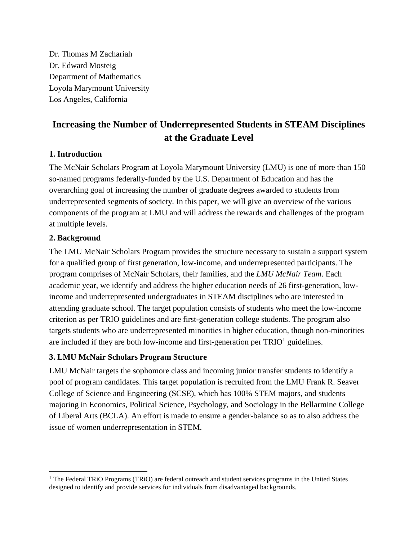Dr. Thomas M Zachariah Dr. Edward Mosteig Department of Mathematics Loyola Marymount University Los Angeles, California

# **Increasing the Number of Underrepresented Students in STEAM Disciplines at the Graduate Level**

#### **1. Introduction**

The McNair Scholars Program at Loyola Marymount University (LMU) is one of more than 150 so-named programs federally-funded by the U.S. Department of Education and has the overarching goal of increasing the number of graduate degrees awarded to students from underrepresented segments of society. In this paper, we will give an overview of the various components of the program at LMU and will address the rewards and challenges of the program at multiple levels.

## **2. Background**

The LMU McNair Scholars Program provides the structure necessary to sustain a support system for a qualified group of first generation, low-income, and underrepresented participants. The program comprises of McNair Scholars, their families, and the *LMU McNair Team*. Each academic year, we identify and address the higher education needs of 26 first-generation, lowincome and underrepresented undergraduates in STEAM disciplines who are interested in attending graduate school. The target population consists of students who meet the low-income criterion as per TRIO guidelines and are first-generation college students. The program also targets students who are underrepresented minorities in higher education, though non-minorities are included if they are both low-income and first-generation per  $TRIO<sup>1</sup>$  guidelines.

#### **3. LMU McNair Scholars Program Structure**

LMU McNair targets the sophomore class and incoming junior transfer students to identify a pool of program candidates. This target population is recruited from the LMU Frank R. Seaver College of Science and Engineering (SCSE), which has 100% STEM majors, and students majoring in Economics, Political Science, Psychology, and Sociology in the Bellarmine College of Liberal Arts (BCLA). An effort is made to ensure a gender-balance so as to also address the issue of women underrepresentation in STEM.

<sup>&</sup>lt;sup>1</sup> The Federal TRiO Programs (TRiO) are federal outreach and student services programs in the United States designed to identify and provide services for individuals from disadvantaged backgrounds.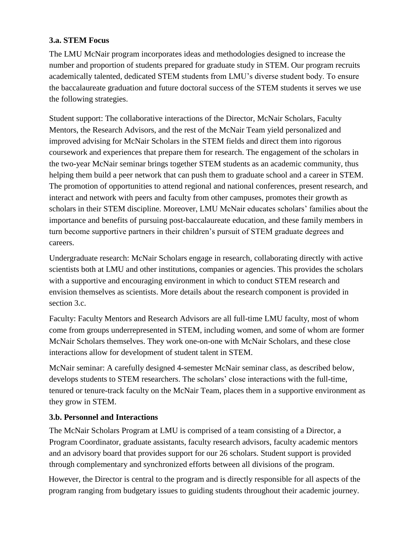# **3.a. STEM Focus**

The LMU McNair program incorporates ideas and methodologies designed to increase the number and proportion of students prepared for graduate study in STEM. Our program recruits academically talented, dedicated STEM students from LMU's diverse student body. To ensure the baccalaureate graduation and future doctoral success of the STEM students it serves we use the following strategies.

Student support: The collaborative interactions of the Director, McNair Scholars, Faculty Mentors, the Research Advisors, and the rest of the McNair Team yield personalized and improved advising for McNair Scholars in the STEM fields and direct them into rigorous coursework and experiences that prepare them for research. The engagement of the scholars in the two-year McNair seminar brings together STEM students as an academic community, thus helping them build a peer network that can push them to graduate school and a career in STEM. The promotion of opportunities to attend regional and national conferences, present research, and interact and network with peers and faculty from other campuses, promotes their growth as scholars in their STEM discipline. Moreover, LMU McNair educates scholars' families about the importance and benefits of pursuing post-baccalaureate education, and these family members in turn become supportive partners in their children's pursuit of STEM graduate degrees and careers.

Undergraduate research: McNair Scholars engage in research, collaborating directly with active scientists both at LMU and other institutions, companies or agencies. This provides the scholars with a supportive and encouraging environment in which to conduct STEM research and envision themselves as scientists. More details about the research component is provided in section 3.c.

Faculty: Faculty Mentors and Research Advisors are all full-time LMU faculty, most of whom come from groups underrepresented in STEM, including women, and some of whom are former McNair Scholars themselves. They work one-on-one with McNair Scholars, and these close interactions allow for development of student talent in STEM.

McNair seminar: A carefully designed 4-semester McNair seminar class, as described below, develops students to STEM researchers. The scholars' close interactions with the full-time, tenured or tenure-track faculty on the McNair Team, places them in a supportive environment as they grow in STEM.

#### **3.b. Personnel and Interactions**

The McNair Scholars Program at LMU is comprised of a team consisting of a Director, a Program Coordinator, graduate assistants, faculty research advisors, faculty academic mentors and an advisory board that provides support for our 26 scholars. Student support is provided through complementary and synchronized efforts between all divisions of the program.

However, the Director is central to the program and is directly responsible for all aspects of the program ranging from budgetary issues to guiding students throughout their academic journey.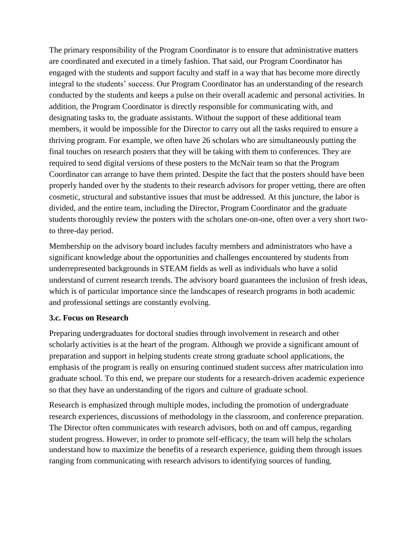The primary responsibility of the Program Coordinator is to ensure that administrative matters are coordinated and executed in a timely fashion. That said, our Program Coordinator has engaged with the students and support faculty and staff in a way that has become more directly integral to the students' success. Our Program Coordinator has an understanding of the research conducted by the students and keeps a pulse on their overall academic and personal activities. In addition, the Program Coordinator is directly responsible for communicating with, and designating tasks to, the graduate assistants. Without the support of these additional team members, it would be impossible for the Director to carry out all the tasks required to ensure a thriving program. For example, we often have 26 scholars who are simultaneously putting the final touches on research posters that they will be taking with them to conferences. They are required to send digital versions of these posters to the McNair team so that the Program Coordinator can arrange to have them printed. Despite the fact that the posters should have been properly handed over by the students to their research advisors for proper vetting, there are often cosmetic, structural and substantive issues that must be addressed. At this juncture, the labor is divided, and the entire team, including the Director, Program Coordinator and the graduate students thoroughly review the posters with the scholars one-on-one, often over a very short twoto three-day period.

Membership on the advisory board includes faculty members and administrators who have a significant knowledge about the opportunities and challenges encountered by students from underrepresented backgrounds in STEAM fields as well as individuals who have a solid understand of current research trends. The advisory board guarantees the inclusion of fresh ideas, which is of particular importance since the landscapes of research programs in both academic and professional settings are constantly evolving.

#### **3.c. Focus on Research**

Preparing undergraduates for doctoral studies through involvement in research and other scholarly activities is at the heart of the program. Although we provide a significant amount of preparation and support in helping students create strong graduate school applications, the emphasis of the program is really on ensuring continued student success after matriculation into graduate school. To this end, we prepare our students for a research-driven academic experience so that they have an understanding of the rigors and culture of graduate school.

Research is emphasized through multiple modes, including the promotion of undergraduate research experiences, discussions of methodology in the classroom, and conference preparation. The Director often communicates with research advisors, both on and off campus, regarding student progress. However, in order to promote self-efficacy, the team will help the scholars understand how to maximize the benefits of a research experience, guiding them through issues ranging from communicating with research advisors to identifying sources of funding.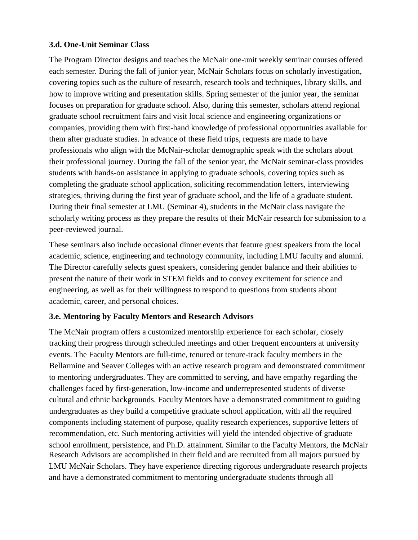#### **3.d. One-Unit Seminar Class**

The Program Director designs and teaches the McNair one-unit weekly seminar courses offered each semester. During the fall of junior year, McNair Scholars focus on scholarly investigation, covering topics such as the culture of research, research tools and techniques, library skills, and how to improve writing and presentation skills. Spring semester of the junior year, the seminar focuses on preparation for graduate school. Also, during this semester, scholars attend regional graduate school recruitment fairs and visit local science and engineering organizations or companies, providing them with first-hand knowledge of professional opportunities available for them after graduate studies. In advance of these field trips, requests are made to have professionals who align with the McNair-scholar demographic speak with the scholars about their professional journey. During the fall of the senior year, the McNair seminar-class provides students with hands-on assistance in applying to graduate schools, covering topics such as completing the graduate school application, soliciting recommendation letters, interviewing strategies, thriving during the first year of graduate school, and the life of a graduate student. During their final semester at LMU (Seminar 4), students in the McNair class navigate the scholarly writing process as they prepare the results of their McNair research for submission to a peer-reviewed journal.

These seminars also include occasional dinner events that feature guest speakers from the local academic, science, engineering and technology community, including LMU faculty and alumni. The Director carefully selects guest speakers, considering gender balance and their abilities to present the nature of their work in STEM fields and to convey excitement for science and engineering, as well as for their willingness to respond to questions from students about academic, career, and personal choices.

#### **3.e. Mentoring by Faculty Mentors and Research Advisors**

The McNair program offers a customized mentorship experience for each scholar, closely tracking their progress through scheduled meetings and other frequent encounters at university events. The Faculty Mentors are full-time, tenured or tenure-track faculty members in the Bellarmine and Seaver Colleges with an active research program and demonstrated commitment to mentoring undergraduates. They are committed to serving, and have empathy regarding the challenges faced by first-generation, low-income and underrepresented students of diverse cultural and ethnic backgrounds. Faculty Mentors have a demonstrated commitment to guiding undergraduates as they build a competitive graduate school application, with all the required components including statement of purpose, quality research experiences, supportive letters of recommendation, etc. Such mentoring activities will yield the intended objective of graduate school enrollment, persistence, and Ph.D. attainment. Similar to the Faculty Mentors, the McNair Research Advisors are accomplished in their field and are recruited from all majors pursued by LMU McNair Scholars. They have experience directing rigorous undergraduate research projects and have a demonstrated commitment to mentoring undergraduate students through all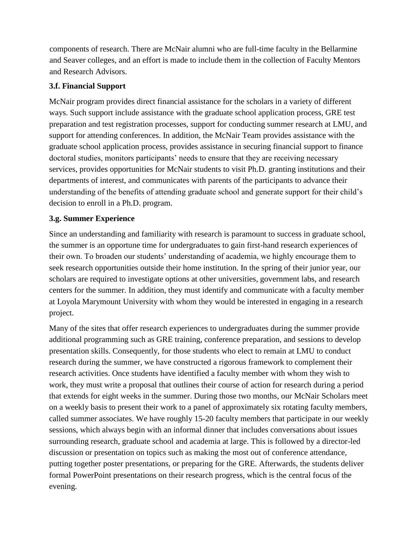components of research. There are McNair alumni who are full-time faculty in the Bellarmine and Seaver colleges, and an effort is made to include them in the collection of Faculty Mentors and Research Advisors.

#### **3.f. Financial Support**

McNair program provides direct financial assistance for the scholars in a variety of different ways. Such support include assistance with the graduate school application process, GRE test preparation and test registration processes, support for conducting summer research at LMU, and support for attending conferences. In addition, the McNair Team provides assistance with the graduate school application process, provides assistance in securing financial support to finance doctoral studies, monitors participants' needs to ensure that they are receiving necessary services, provides opportunities for McNair students to visit Ph.D. granting institutions and their departments of interest, and communicates with parents of the participants to advance their understanding of the benefits of attending graduate school and generate support for their child's decision to enroll in a Ph.D. program.

## **3.g. Summer Experience**

Since an understanding and familiarity with research is paramount to success in graduate school, the summer is an opportune time for undergraduates to gain first-hand research experiences of their own. To broaden our students' understanding of academia, we highly encourage them to seek research opportunities outside their home institution. In the spring of their junior year, our scholars are required to investigate options at other universities, government labs, and research centers for the summer. In addition, they must identify and communicate with a faculty member at Loyola Marymount University with whom they would be interested in engaging in a research project.

Many of the sites that offer research experiences to undergraduates during the summer provide additional programming such as GRE training, conference preparation, and sessions to develop presentation skills. Consequently, for those students who elect to remain at LMU to conduct research during the summer, we have constructed a rigorous framework to complement their research activities. Once students have identified a faculty member with whom they wish to work, they must write a proposal that outlines their course of action for research during a period that extends for eight weeks in the summer. During those two months, our McNair Scholars meet on a weekly basis to present their work to a panel of approximately six rotating faculty members, called summer associates. We have roughly 15-20 faculty members that participate in our weekly sessions, which always begin with an informal dinner that includes conversations about issues surrounding research, graduate school and academia at large. This is followed by a director-led discussion or presentation on topics such as making the most out of conference attendance, putting together poster presentations, or preparing for the GRE. Afterwards, the students deliver formal PowerPoint presentations on their research progress, which is the central focus of the evening.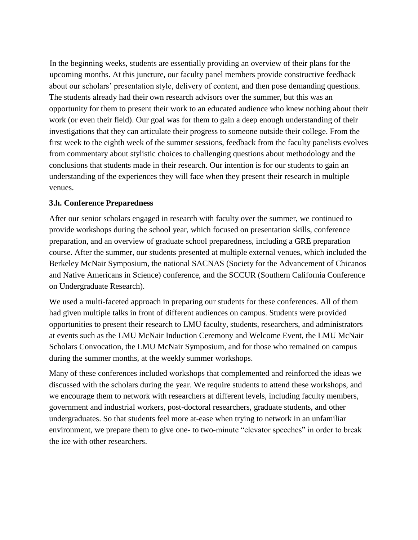about our scholars' presentation style, delivery of content, and then pose demanding questions. The students already had their own research advisors over the summer, but this was an opportunity for them to present their work to an educated audience who knew nothing about their work (or even their field). Our goal was for them to gain a deep enough understanding of their investigations that they can articulate their progress to someone outside their college. From the first week to the eighth week of the summer sessions, feedback from the faculty panelists evolves from commentary about stylistic choices to challenging questions about methodology and the conclusions that students made in their research. Our intention is for our students to gain an understanding of the experiences they will face when they present their research in multiple venues. In the beginning weeks, students are essentially providing an overview of their plans for the upcoming months. At this juncture, our faculty panel members provide constructive feedback

#### **3.h. Conference Preparedness**

After our senior scholars engaged in research with faculty over the summer, we continued to provide workshops during the school year, which focused on presentation skills, conference preparation, and an overview of graduate school preparedness, including a GRE preparation course. After the summer, our students presented at multiple external venues, which included the Berkeley McNair Symposium, the national SACNAS (Society for the Advancement of Chicanos and Native Americans in Science) conference, and the SCCUR (Southern California Conference on Undergraduate Research).

We used a multi-faceted approach in preparing our students for these conferences. All of them had given multiple talks in front of different audiences on campus. Students were provided opportunities to present their research to LMU faculty, students, researchers, and administrators at events such as the LMU McNair Induction Ceremony and Welcome Event, the LMU McNair Scholars Convocation, the LMU McNair Symposium, and for those who remained on campus during the summer months, at the weekly summer workshops.

Many of these conferences included workshops that complemented and reinforced the ideas we discussed with the scholars during the year. We require students to attend these workshops, and we encourage them to network with researchers at different levels, including faculty members, government and industrial workers, post-doctoral researchers, graduate students, and other undergraduates. So that students feel more at-ease when trying to network in an unfamiliar environment, we prepare them to give one- to two-minute "elevator speeches" in order to break the ice with other researchers.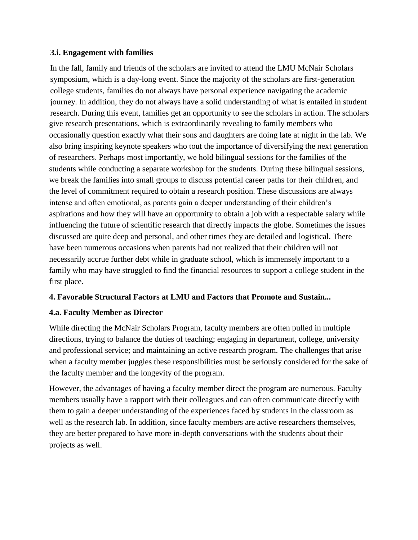#### **3.i. Engagement with families**

give research presentations, which is extraordinarily revealing to family members who occasionally question exactly what their sons and daughters are doing late at night in the lab. We also bring inspiring keynote speakers who tout the importance of diversifying the next generation of researchers. Perhaps most importantly, we hold bilingual sessions for the families of the students while conducting a separate workshop for the students. During these bilingual sessions, we break the families into small groups to discuss potential career paths for their children, and the level of commitment required to obtain a research position. These discussions are always intense and often emotional, as parents gain a deeper understanding of their children's aspirations and how they will have an opportunity to obtain a job with a respectable salary while influencing the future of scientific research that directly impacts the globe. Sometimes the issues discussed are quite deep and personal, and other times they are detailed and logistical. There have been numerous occasions when parents had not realized that their children will not necessarily accrue further debt while in graduate school, which is immensely important to a family who may have struggled to find the financial resources to support a college student in the first place. In the fall, family and friends of the scholars are invited to attend the LMU McNair Scholars symposium, which is a day-long event. Since the majority of the scholars are first-generation college students, families do not always have personal experience navigating the academic journey. In addition, they do not always have a solid understanding of what is entailed in student research. During this event, families get an opportunity to see the scholars in action. The scholars

#### **4. Favorable Structural Factors at LMU and Factors that Promote and Sustain...**

#### **4.a. Faculty Member as Director**

While directing the McNair Scholars Program, faculty members are often pulled in multiple directions, trying to balance the duties of teaching; engaging in department, college, university and professional service; and maintaining an active research program. The challenges that arise when a faculty member juggles these responsibilities must be seriously considered for the sake of the faculty member and the longevity of the program.

However, the advantages of having a faculty member direct the program are numerous. Faculty members usually have a rapport with their colleagues and can often communicate directly with them to gain a deeper understanding of the experiences faced by students in the classroom as well as the research lab. In addition, since faculty members are active researchers themselves, they are better prepared to have more in-depth conversations with the students about their projects as well.